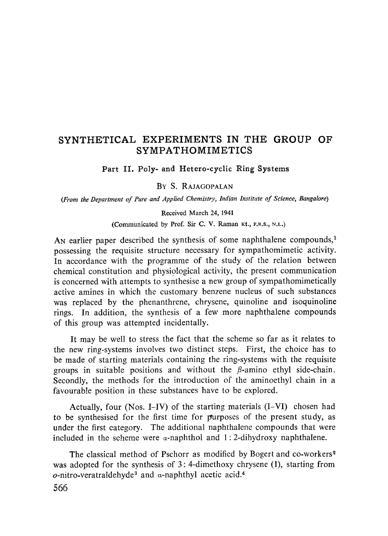# **SYNTHETICAL EXPERIMENTS IN THE GROUP OF SYMPATHOMIMETICS**

Part II. Poly- and Hetero-cyclic Ring Systems

## BY S. RAJAGOPALAN

*(From the Department of Pure and Applied Chemistry, Indian Institute of Science, Bangalore)*

#### Received March 24, 1941

(Communicated by Prof. Sir C. V. Raman Kt., **F.R.S.,** N.L.)

An earlier paper described the synthesis of some naphthalene compounds,<sup>1</sup> possessing the requisite structure necessary for sympathomimetic activity. In accordance with the programme of the study of the relation between chemical constitution and physiological activity, the present communication is concerned with attempts to synthesise a new group of sympathomimetically active amines in which the customary benzene nucleus of such substances was replaced by the phenanthrene, chrysene, quinoline and isoquinoline rings. In addition, the synthesis of a few more naphthalene compounds of this group was attempted incidentally.

It may be well to stress the fact that the scheme so far as it relates to the new ring-systems involves two distinct steps. First, the choice has to be made of starting materials containing the ring-systems with the requisite groups in suitable positions and without the  $\beta$ -amino ethyl side-chain. Secondly, the methods for the introduction of the aminoethyl chain in a favourable position in these substances have to be explored.

Actually, four (Nos. I-1V) of the starting materials (I—VI) chosen had to be synthesised for the first time for purposes of the present study, as under the first category. The additional naphthalene compounds that were included in the scheme were *a-*naphthol and 1: 2-dihydroxy naphthalene.

The classical method of Pschorr as modified by Bogert and co-workers <sup>2</sup> was adopted for the synthesis of 3: 4-dimethoxy chrysene (I), starting from o-nitro-veratraldehyde<sup>3</sup> and *a*-naphthyl acetic acid.<sup>4</sup>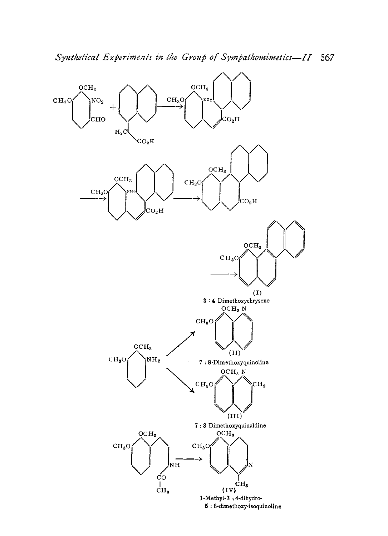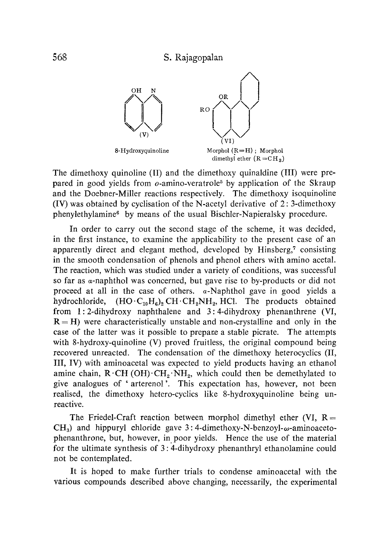

The dimethoxy quinoline (II) and the dimethoxy quinaldine (III) were prepared in good yields from  $o$ -amino-veratrole<sup>5</sup> by application of the Skraup and the Doebner-Miller reactions respectively. The dimethoxy isoquinoline (IV) was obtained by cyclisation of the N-acetyl derivative of 2: 3-dimethoxy phenylethylamine<sup>6</sup> by means of the usual Bischler-Napieralsky procedure.

In order to carry out the second stage of the scheme, it was decided, in the first instance, to examine the applicability to the present case of an apparently direct and elegant method, developed by Hinsberg,<sup>7</sup> consisting in the smooth condensation of phenols and phenol ethers with amino acetal. The reaction, which was studied under a variety of conditions, was successful so far as a-naphthol was concerned, but gave rise to by-products or did not proceed at all in the case of others.  $\alpha$ -Naphthol gave in good yields a hydrochloride,  $(HO \cdot C_{10}H_6)_2 CH \cdot CH_2NH_2$ , HCl. The products obtained from 1: 2-dihydroxy naphthalene and 3: 4-dihydroxy phenanthrene (VI,  $R = H$ ) were characteristically unstable and non-crystalline and only in the case of the latter was it possible to prepare a stable picrate. The attempts with 8-hydroxy-quinoline (V) proved fruitless, the original compound being recovered unreacted. The condensation of the dimethoxy heterocyclics (II, III, IV) with aminoacetal was expected to yield products having an ethanol amine chain,  $R \cdot CH$  (OH) $\cdot CH_2 \cdot NH_2$ , which could then be demethylated to give analogues of ' arterenol'. This expectation has, however, not been realised, the dimethoxy hetero-cyclics like 8-hydroxyquinoline being unreactive.

The Friedel-Craft reaction between morphol dimethyl ether (VI,  $R =$  $CH<sub>3</sub>$  and hippuryl chloride gave 3:4-dimethoxy-N-benzoyl- $\omega$ -aminoacetophenanthrone, but, however, in poor yields. Hence the use of the material for the ultimate synthesis of 3: 4-dihydroxy phenanthryl ethanolamine could not be contemplated.

It is hoped to make further trials to condense aminoacetal with the various compounds described above changing, necessarily, the experimental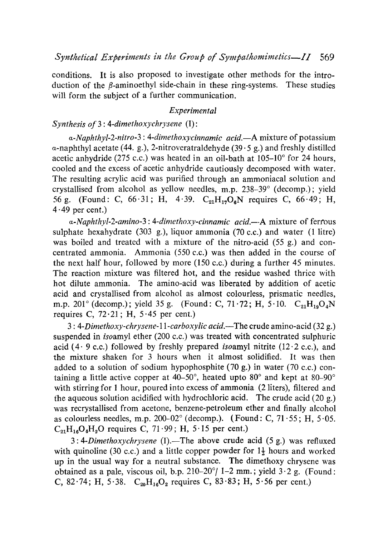conditions. It is also proposed to investigate other methods for the introduction of the  $\beta$ -aminoethyl side-chain in these ring-systems. These studies will form the subject of a further communication.

### *Experimental*

#### *Synthesis of 3: 4-dimethoxychrysene (I):*

*a-Naphthyl-2-nitro-3 : 4-dimethoxycinnamic acid.—A* mixture of potassium a-naphthyl acetate *(44.* g.), *2-*nitroveratraldehyde *(39.5* g.) and freshly distilled acetic anhydride *(275 c.c.)* was heated in an oil-bath at *105-10°* for *24* hours, cooled and the excess of acetic anhydride cautiously decomposed with water. The resulting acrylic acid was purified through an ammoniacal solution and crystallised from alcohol as yellow needles, m.p. 238-39° (decomp.); yield 56 g. (Found: C, *66.31;* H, *4.39. C*21H1706N requires C, *6649;* H, *4•49* per cent.)

*a-Naphthyl-2-amino-3 : 4-dimethoxy-cinnamic acid.--A* mixture of ferrous sulphate hexahydrate *(303* g.), liquor ammonia *(70 c.c.)* and water (1 litre) was boiled and treated with a mixture of the nitro-acid *(55* g.) and concentrated ammonia. Ammonia *(550 c.c.)* was then added in the course of the next half hour, followed by more *(150 c.c.)* during a further *45* minutes. The reaction mixture was filtered hot, and the residue washed thrice with hot dilute ammonia. The amino-acid was liberated by addition of acetic acid and crystallised from alcohol as almost colourless, prismatic needles, m.p. 201° (decomp.); yield 35 g. (Found: C, 71.72; H, 5.10. C<sub>21</sub>H<sub>19</sub>O<sub>4</sub>N requires C, *72.21;* H, *5.45* per cent.)

*3: 4-Dimethoxy-chrysene-ll-carboxylic acid.—The* crude amino-acid *(32* g.) suspended in isoamyl ether *(200 c.c.)* was treated with concentrated sulphuric acid  $(4.9 \text{ c.c.})$  followed by freshly prepared *isoamyl nitrite*  $(12.2 \text{ c.c.})$ , and the mixture shaken for *3* hours when it almost solidified. It was then added to a solution of sodium hypophosphite *(70* g.) in water *(70 c.c.)* containing a little active copper at *40-50°,* heated upto *80°* and kept at *80-90°* with stirring for l hour, poured into excess of ammonia *(2* liters), filtered and the aqueous solution acidified with hydrochloric acid. The crude acid *(20* g.) was recrystallised from acetone, benzene-petroleum ether and finally alcohol as colourless needles, m.p. 200-02° (decomp.). (Found: C, 71.55; H, 5.05.  $C_{21}H_{16}O_4H_2O$  requires C,  $71.99$ ; H,  $5.15$  per cent.)

*3: 4-Dimethoxychrysene (I).* —The above crude acid *(5* g.) was refluxed with quinoline (30 c.c.) and a little copper powder for 1<sup>1</sup>/<sub>2</sub> hours and worked up in the usual way for a neutral substance. The dimethoxy chrysene was obtained as a pale, viscous oil, b.p. *210-20°/ 1-2* mm. ; yield *3.2* g. (Found: C,  $82.74$ ; H,  $5.38$ . C<sub>20</sub>H<sub>16</sub>O<sub>2</sub> requires C,  $83.83$ ; H,  $5.56$  per cent.)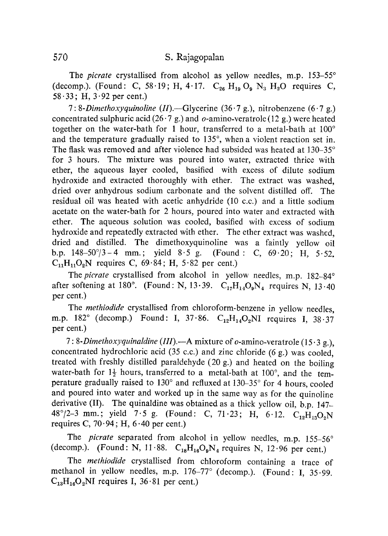The *picrate* crystallised from alcohol as yellow needles, m.p. 153-55° (decomp.). (Found: C, 58.19; H, 4.17.  $C_{26}$  H<sub>19</sub> O<sub>9</sub> N<sub>3</sub> H<sub>2</sub>O requires C, 58 $\cdot$ 33; H, 3 $\cdot$ 92 per cent.)

*7: 8-Dimethoxyquinoline (II).—*Glycerine (36.7 g.), nitrobenzene (6.7 g.) concentrated sulphuric acid (26.7 g.) and  $o$ -amino-veratrole (12 g.) were heated together on the water-bath for 1 hour, transferred to a metal-bath at  $100^{\circ}$ and the temperature gradually raised to 135°, when a violent reaction set in. The flask was removed and after violence had subsided was heated at 130-35° for 3 hours. The mixture was poured into water, extracted thrice with ether, the aqueous layer cooled, basified with excess of dilute sodium hydroxide and extracted thoroughly with ether. The extract was washed, dried over anhydrous sodium carbonate and the solvent distilled off. The residual oil was heated with acetic anhydride (10 c.c.) and a little sodium acetate on the water-bath for 2 hours, poured into water and extracted with ether. The aqueous solution was cooled, basified with excess of sodium hydroxide and repeatedly extracted with ether. The ether extract was washed, dried and distilled. The dimethoxyquinoline was a faintly yellow oil b.p.  $148-50^{\circ}/3-4$  mm.; yield  $8.5$  g. (Found: C,  $69.20$ ; H,  $5.52$ .  $C_{11}H_{11}O_2N$  requires C, 69.84; H, 5.82 per cent.)

The *picrate* crystallised from alcohol in yellow needles, m.p. 182-84° after softening at 180°. (Found: N, 13.39.  $C_{17}H_{14}O_9N_4$  requires N, 13.40 per cent.)

The *methiodide* crystallised from chloroform-benzene in yellow needles, m.p. 182° (decomp.) Found: I, 37.86.  $C_{12}H_{14}O_2NI$  requires I, 38.37 per cent.)

*7: 8-Dimethoxyquinaldine (III).—A* mixture of o-amino-veratrole (15.3 g.), concentrated hydrochloric acid (35 c.c.) and zinc chloride (6 g.) was cooled, treated with freshly distilled paraldehyde (20 g.) and heated on the boiling water-bath for  $1\frac{1}{2}$  hours, transferred to a metal-bath at 100°, and the temperature gradually raised to 130° and refluxed at 130-35° for 4 hours, cooled and poured into water and worked up in the same way as for the quinoline derivative (II). The quinaldine was obtained as a thick yellow oil, b.p. 147- 48°/2-3 mm.; yield 7.5 g. (Found: C, 71.23; H, 6.12.  $C_{12}H_{13}O_2N$ requires C,  $70.94$ ; H,  $6.40$  per cent.)

The *picrate* separated from alcohol in yellow needles, m.p. 155-56° (decomp.). (Found: N, 11.88.  $C_{18}H_{16}O_9N_4$  requires N, 12.96 per cent.)

The *methiodide* crystallised from chloroform containing a trace of methanol in yellow needles, m.p. 176-77° (decomp.). (Found: I, 35.99.  $C_{13}H_{16}O_2NI$  requires I, 36.81 per cent.)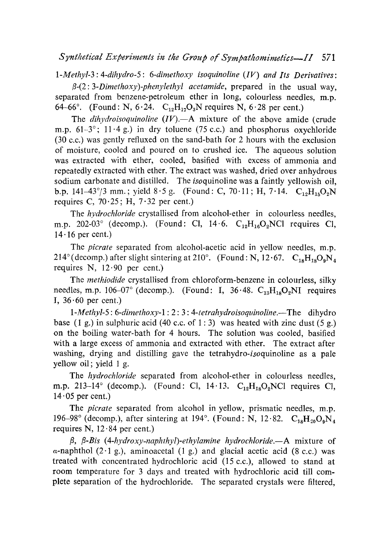## *Synthetical Experiments in the Group of Sympathomimetics --Il <sup>571</sup>*

*1-Methyl-3: 4-dihydro-5: 6-dimethoxy isoquinoline (IV) and Its Derivatives:*

*ß-(2: 3-Dimethoxy)-phenylethyl acetamide,* prepared in the usual way, separated from benzene-petroleum ether in long, colourless needles, m.p. 64-66°. (Found: N,  $6.24$ .  $C_{12}H_{17}O_3N$  requires N,  $6.28$  per cent.)

The *dihydroisoquinoline (IV).—A* mixture of the above amide (crude m.p. 61--*3°; 11.4* g.) in dry toluene *(75 c.c.)* and phosphorus oxychloride *(30 c.c.)* was gently refluxed on the sand-bath for *2* hours with the exclusion of moisture, cooled and poured on to crushed ice. The aqueous solution was extracted with ether, cooled, basified with excess of ammonia and repeatedly extracted with ether. The extract was washed, dried over anhydrous sodium carbonate and distilled. The *iso*quinoline was a faintly yellowish oil, b.p. 141-43°/3 mm.; yield  $8.5$  g. (Found: C,  $70.11$ ; H,  $7.14$ . C<sub>12</sub>H<sub>15</sub>O<sub>2</sub>N requires C,  $70.25$ ; H,  $7.32$  per cent.)

The *hydrochloride* crystallised from alcohol-ether in colourless needles, m.p. 202-03° (decomp.). (Found: Cl, 14.6. C<sub>12</sub>H<sub>16</sub>O<sub>2</sub>NCl requires Cl, *14.16* per cent.)

The *picrate* separated from alcohol-acetic acid in yellow needles, m.p.  $214^{\circ}$  (decomp.) after slight sintering at 210°. (Found: N, 12.67.  $C_{18}H_{18}O_9N_4$ requires N, *12.90* per cent.)

The *methiodide* crystallised from chloroform-benzene in colourless, silky needles, m.p. 106-07° (decomp.). (Found: I,  $36.48$ . C<sub>13</sub>H<sub>18</sub>O<sub>2</sub>NI requires 1, *36.60* per cent.)

*1-Methyl-5: 6-dimethoxy-1: 2: 3: 4-t etrahydroisoquinoline.—The* dihydro base (1 g.) in sulphuric acid *(40 c.c. of 1: 3)* was heated with zinc dust *(5* g.) on the boiling water-bath for *4* hours. The solution was cooled, basified with a large excess of ammonia and extracted with ether. The extract after washing, drying and distilling gave the tetrahydro-*iso*quinoline as a pale yellow oil; yield I g.

The *hydrochloride* separated from alcohol-ether in colourless needles, m.p. 213-14° (decomp.). (Found: Cl, 14.13. C<sub>12</sub>H<sub>18</sub>O<sub>2</sub>NCl requires Cl,  $14.05$  per cent.)

The *picrate* separated from alcohol in yellow, prismatic needles, m.p. 196-98° (decomp.), after sintering at 194°. (Found: N, 12.82. C<sub>18</sub>H<sub>20</sub>O<sub>9</sub>N<sub>4</sub> requires N, *12.84* per cent.)

*ß, ß-Bis (4-hydroxy-naphthyl)- ethylamine hydrochloride.—A* mixture of a-naphthol *(2.1* g.), aminoacetal (1 g.) and glacial acetic acid *(8 c.c.)* was treated with concentrated hydrochloric acid (15 c.c.), allowed to stand at room temperature for *3* days and treated with hydrochloric acid till complete separation of the hydrochloride. The separated crystals were filtered,